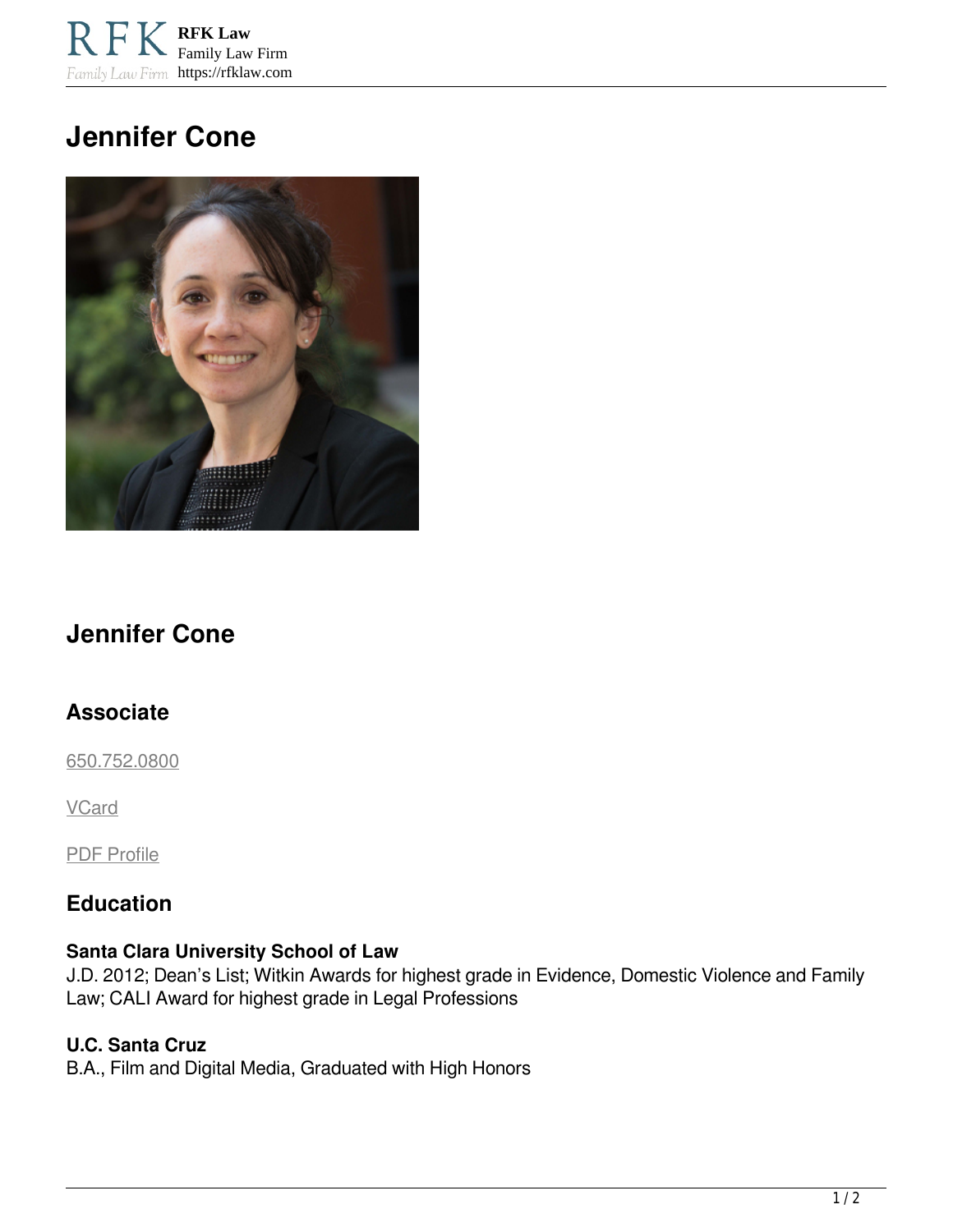**RFK Law** Family Law Firm Family Law Firm https://rfklaw.com

# **Jennifer Cone**



## **Jennifer Cone**

## **Associate**

[650.752.0800](tel:6507520800)

**VCard** 

PDF Profile

## **Education**

#### **Santa Clara University School of Law**

J.D. 2012; Dean's List; Witkin Awards for highest grade in Evidence, Domestic Violence and Family Law; CALI Award for highest grade in Legal Professions

#### **U.C. Santa Cruz**

B.A., Film and Digital Media, Graduated with High Honors